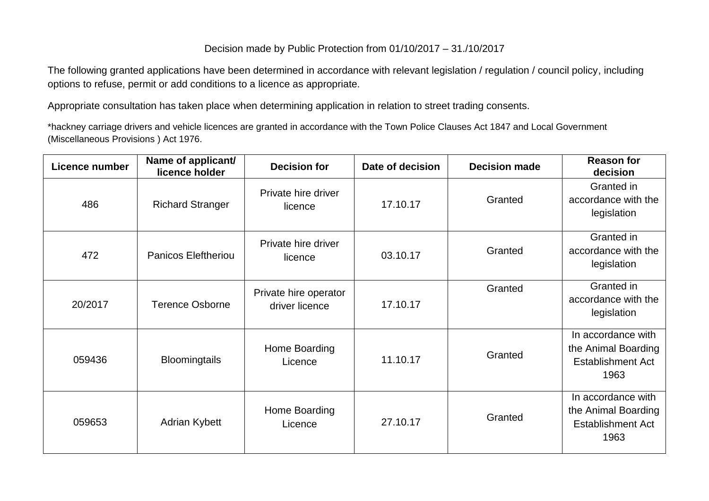## Decision made by Public Protection from 01/10/2017 – 31./10/2017

The following granted applications have been determined in accordance with relevant legislation / regulation / council policy, including options to refuse, permit or add conditions to a licence as appropriate.

Appropriate consultation has taken place when determining application in relation to street trading consents.

\*hackney carriage drivers and vehicle licences are granted in accordance with the Town Police Clauses Act 1847 and Local Government (Miscellaneous Provisions ) Act 1976.

| <b>Licence number</b> | Name of applicant/<br>licence holder | <b>Decision for</b>                     | Date of decision | <b>Decision made</b> | <b>Reason for</b><br>decision                                                 |
|-----------------------|--------------------------------------|-----------------------------------------|------------------|----------------------|-------------------------------------------------------------------------------|
| 486                   | <b>Richard Stranger</b>              | Private hire driver<br>licence          | 17.10.17         | Granted              | Granted in<br>accordance with the<br>legislation                              |
| 472                   | <b>Panicos Eleftheriou</b>           | Private hire driver<br>licence          | 03.10.17         | Granted              | Granted in<br>accordance with the<br>legislation                              |
| 20/2017               | <b>Terence Osborne</b>               | Private hire operator<br>driver licence | 17.10.17         | Granted              | Granted in<br>accordance with the<br>legislation                              |
| 059436                | <b>Bloomingtails</b>                 | Home Boarding<br>Licence                | 11.10.17         | Granted              | In accordance with<br>the Animal Boarding<br><b>Establishment Act</b><br>1963 |
| 059653                | <b>Adrian Kybett</b>                 | Home Boarding<br>Licence                | 27.10.17         | Granted              | In accordance with<br>the Animal Boarding<br><b>Establishment Act</b><br>1963 |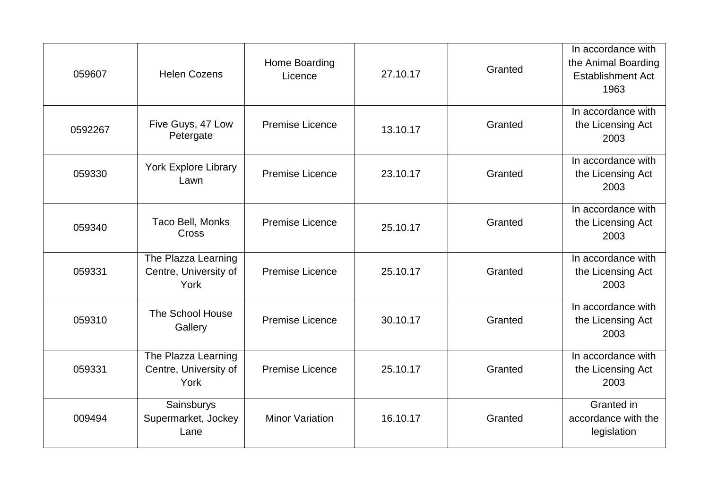| 059607  | <b>Helen Cozens</b>                                  | Home Boarding<br>Licence | 27.10.17 | Granted | In accordance with<br>the Animal Boarding<br><b>Establishment Act</b><br>1963 |
|---------|------------------------------------------------------|--------------------------|----------|---------|-------------------------------------------------------------------------------|
| 0592267 | Five Guys, 47 Low<br>Petergate                       | <b>Premise Licence</b>   | 13.10.17 | Granted | In accordance with<br>the Licensing Act<br>2003                               |
| 059330  | <b>York Explore Library</b><br>Lawn                  | <b>Premise Licence</b>   | 23.10.17 | Granted | In accordance with<br>the Licensing Act<br>2003                               |
| 059340  | Taco Bell, Monks<br><b>Cross</b>                     | <b>Premise Licence</b>   | 25.10.17 | Granted | In accordance with<br>the Licensing Act<br>2003                               |
| 059331  | The Plazza Learning<br>Centre, University of<br>York | <b>Premise Licence</b>   | 25.10.17 | Granted | In accordance with<br>the Licensing Act<br>2003                               |
| 059310  | The School House<br>Gallery                          | <b>Premise Licence</b>   | 30.10.17 | Granted | In accordance with<br>the Licensing Act<br>2003                               |
| 059331  | The Plazza Learning<br>Centre, University of<br>York | <b>Premise Licence</b>   | 25.10.17 | Granted | In accordance with<br>the Licensing Act<br>2003                               |
| 009494  | Sainsburys<br>Supermarket, Jockey<br>Lane            | <b>Minor Variation</b>   | 16.10.17 | Granted | Granted in<br>accordance with the<br>legislation                              |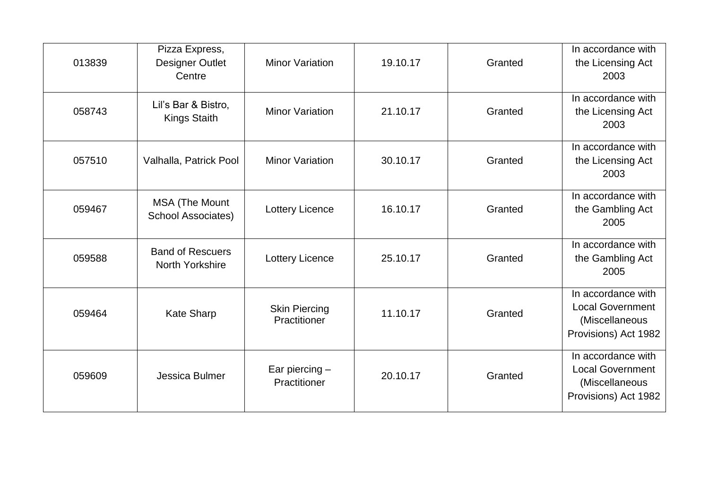| 013839 | Pizza Express,<br>Designer Outlet<br>Centre | <b>Minor Variation</b>               | 19.10.17 | Granted | In accordance with<br>the Licensing Act<br>2003                                         |
|--------|---------------------------------------------|--------------------------------------|----------|---------|-----------------------------------------------------------------------------------------|
| 058743 | Lil's Bar & Bistro,<br><b>Kings Staith</b>  | <b>Minor Variation</b>               | 21.10.17 | Granted | In accordance with<br>the Licensing Act<br>2003                                         |
| 057510 | Valhalla, Patrick Pool                      | <b>Minor Variation</b>               | 30.10.17 | Granted | In accordance with<br>the Licensing Act<br>2003                                         |
| 059467 | MSA (The Mount<br><b>School Associates)</b> | Lottery Licence                      | 16.10.17 | Granted | In accordance with<br>the Gambling Act<br>2005                                          |
| 059588 | <b>Band of Rescuers</b><br>North Yorkshire  | Lottery Licence                      | 25.10.17 | Granted | In accordance with<br>the Gambling Act<br>2005                                          |
| 059464 | <b>Kate Sharp</b>                           | <b>Skin Piercing</b><br>Practitioner | 11.10.17 | Granted | In accordance with<br><b>Local Government</b><br>(Miscellaneous<br>Provisions) Act 1982 |
| 059609 | Jessica Bulmer                              | Ear piercing $-$<br>Practitioner     | 20.10.17 | Granted | In accordance with<br><b>Local Government</b><br>(Miscellaneous<br>Provisions) Act 1982 |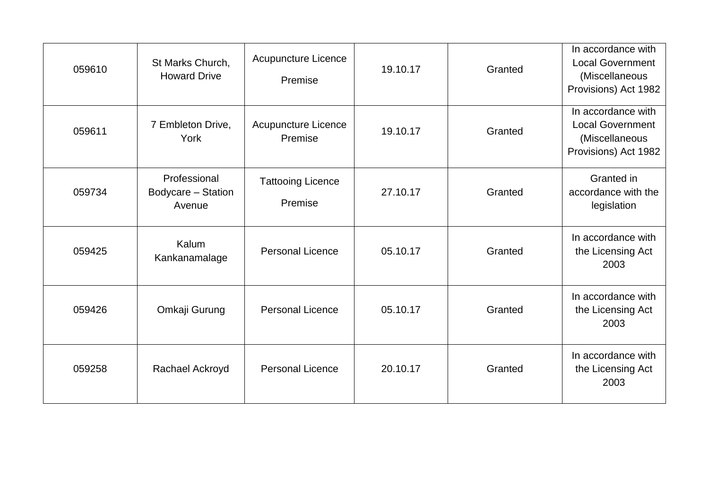| 059610 | St Marks Church,<br><b>Howard Drive</b>      | Acupuncture Licence<br>Premise      | 19.10.17 | Granted | In accordance with<br><b>Local Government</b><br>(Miscellaneous<br>Provisions) Act 1982 |
|--------|----------------------------------------------|-------------------------------------|----------|---------|-----------------------------------------------------------------------------------------|
| 059611 | 7 Embleton Drive,<br>York                    | Acupuncture Licence<br>Premise      | 19.10.17 | Granted | In accordance with<br><b>Local Government</b><br>(Miscellaneous<br>Provisions) Act 1982 |
| 059734 | Professional<br>Bodycare - Station<br>Avenue | <b>Tattooing Licence</b><br>Premise | 27.10.17 | Granted | Granted in<br>accordance with the<br>legislation                                        |
| 059425 | Kalum<br>Kankanamalage                       | <b>Personal Licence</b>             | 05.10.17 | Granted | In accordance with<br>the Licensing Act<br>2003                                         |
| 059426 | Omkaji Gurung                                | <b>Personal Licence</b>             | 05.10.17 | Granted | In accordance with<br>the Licensing Act<br>2003                                         |
| 059258 | Rachael Ackroyd                              | <b>Personal Licence</b>             | 20.10.17 | Granted | In accordance with<br>the Licensing Act<br>2003                                         |